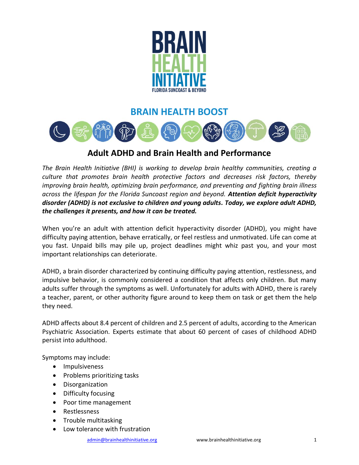

## **BRAIN HEALTH BOOST**



## **Adult ADHD and Brain Health and Performance**

*The Brain Health Initiative (BHI) is working to develop brain healthy communities, creating a culture that promotes brain health protective factors and decreases risk factors, thereby improving brain health, optimizing brain performance, and preventing and fighting brain illness across the lifespan for the Florida Suncoast region and beyond. Attention deficit hyperactivity disorder (ADHD) is not exclusive to children and young adults. Today, we explore adult ADHD, the challenges it presents, and how it can be treated.*

When you're an adult with attention deficit hyperactivity disorder (ADHD), you might have difficulty paying attention, behave erratically, or feel restless and unmotivated. Life can come at you fast. Unpaid bills may pile up, project deadlines might whiz past you, and your most important relationships can deteriorate.

ADHD, a brain disorder characterized by continuing difficulty paying attention, restlessness, and impulsive behavior, is commonly considered a condition that affects only children. But many adults suffer through the symptoms as well. Unfortunately for adults with ADHD, there is rarely a teacher, parent, or other authority figure around to keep them on task or get them the help they need.

ADHD affects about 8.4 percent of children and 2.5 percent of adults, according to the American Psychiatric Association. Experts estimate that about 60 percent of cases of childhood ADHD persist into adulthood.

Symptoms may include:

- Impulsiveness
- Problems prioritizing tasks
- Disorganization
- Difficulty focusing
- Poor time management
- Restlessness
- Trouble multitasking
- Low tolerance with frustration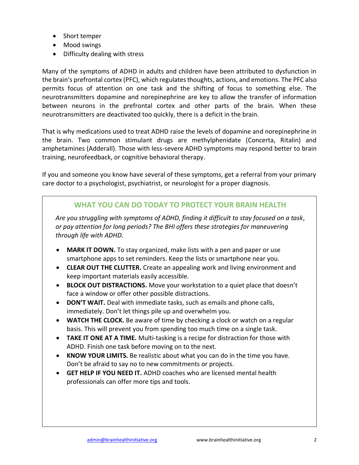- Short temper
- Mood swings
- Difficulty dealing with stress

Many of the symptoms of ADHD in adults and children have been attributed to dysfunction in the brain's prefrontal cortex (PFC), which regulates thoughts, actions, and emotions. The PFC also permits focus of attention on one task and the shifting of focus to something else. The neurotransmitters dopamine and norepinephrine are key to allow the transfer of information between neurons in the prefrontal cortex and other parts of the brain. When these neurotransmitters are deactivated too quickly, there is a deficit in the brain.

That is why medications used to treat ADHD raise the levels of dopamine and norepinephrine in the brain. Two common stimulant drugs are methylphenidate (Concerta, Ritalin) and amphetamines (Adderall). Those with less-severe ADHD symptoms may respond better to brain training, neurofeedback, or cognitive behavioral therapy.

If you and someone you know have several of these symptoms, get a referral from your primary care doctor to a psychologist, psychiatrist, or neurologist for a proper diagnosis.

## **WHAT YOU CAN DO TODAY TO PROTECT YOUR BRAIN HEALTH**

*Are you struggling with symptoms of ADHD, finding it difficult to stay focused on a task, or pay attention for long periods? The BHI offers these strategies for maneuvering through life with ADHD.*

- **MARK IT DOWN.** To stay organized, make lists with a pen and paper or use smartphone apps to set reminders. Keep the lists or smartphone near you.
- **CLEAR OUT THE CLUTTER.** Create an appealing work and living environment and keep important materials easily accessible.
- **BLOCK OUT DISTRACTIONS.** Move your workstation to a quiet place that doesn't face a window or offer other possible distractions.
- **DON'T WAIT.** Deal with immediate tasks, such as emails and phone calls, immediately. Don't let things pile up and overwhelm you.
- **WATCH THE CLOCK.** Be aware of time by checking a clock or watch on a regular basis. This will prevent you from spending too much time on a single task.
- **TAKE IT ONE AT A TIME.** Multi-tasking is a recipe for distraction for those with ADHD. Finish one task before moving on to the next.
- **KNOW YOUR LIMITS.** Be realistic about what you can do in the time you have. Don't be afraid to say no to new commitments or projects.
- **GET HELP IF YOU NEED IT.** ADHD coaches who are licensed mental health professionals can offer more tips and tools.